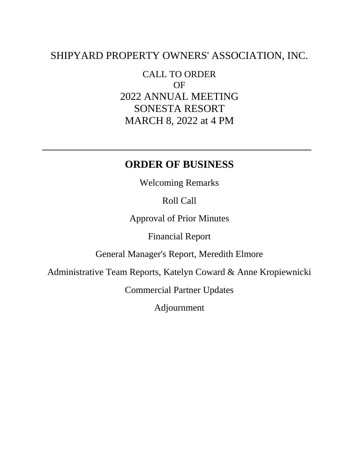# SHIPYARD PROPERTY OWNERS' ASSOCIATION, INC.

CALL TO ORDER OF 2022 ANNUAL MEETING SONESTA RESORT MARCH 8, 2022 at 4 PM

## **ORDER OF BUSINESS**

Welcoming Remarks

Roll Call

Approval of Prior Minutes

Financial Report

General Manager's Report, Meredith Elmore

Administrative Team Reports, Katelyn Coward & Anne Kropiewnicki

Commercial Partner Updates

Adjournment